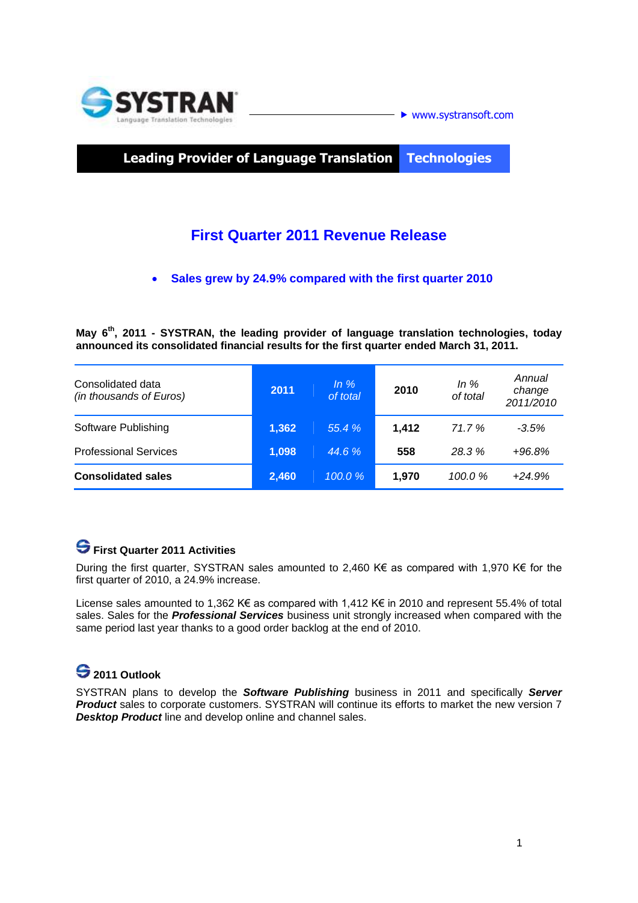

**Leading Provider of Language Translation Technologies**

## **First Quarter 2011 Revenue Release**

**Sales grew by 24.9% compared with the first quarter 2010**

**May 6 th , 2011 - SYSTRAN, the leading provider of language translation technologies, today announced its consolidated financial results for the first quarter ended March 31, 2011.** 

| Consolidated data<br>(in thousands of Euros) | 2011  | In $%$<br>of total | 2010  | In $%$<br>of total | Annual<br>change<br>2011/2010 |
|----------------------------------------------|-------|--------------------|-------|--------------------|-------------------------------|
| Software Publishing                          | 1,362 | 55.4%              | 1,412 | 71.7%              | $-3.5%$                       |
| <b>Professional Services</b>                 | 1,098 | 44.6 %             | 558   | 28.3%              | $+96.8%$                      |
| <b>Consolidated sales</b>                    | 2,460 | 100.0%             | 1,970 | 100.0%             | $+24.9%$                      |

## **First Quarter 2011 Activities**

During the first quarter, SYSTRAN sales amounted to 2,460 K€ as compared with 1,970 K€ for the first quarter of 2010, a 24.9% increase.

License sales amounted to 1,362 K€ as compared with 1,412 K€ in 2010 and represent 55.4% of total sales. Sales for the *Professional Services* business unit strongly increased when compared with the same period last year thanks to a good order backlog at the end of 2010.

# **2011 Outlook**

SYSTRAN plans to develop the *Software Publishing* business in 2011 and specifically *Server Product* sales to corporate customers. SYSTRAN will continue its efforts to market the new version 7 *Desktop Product* line and develop online and channel sales.